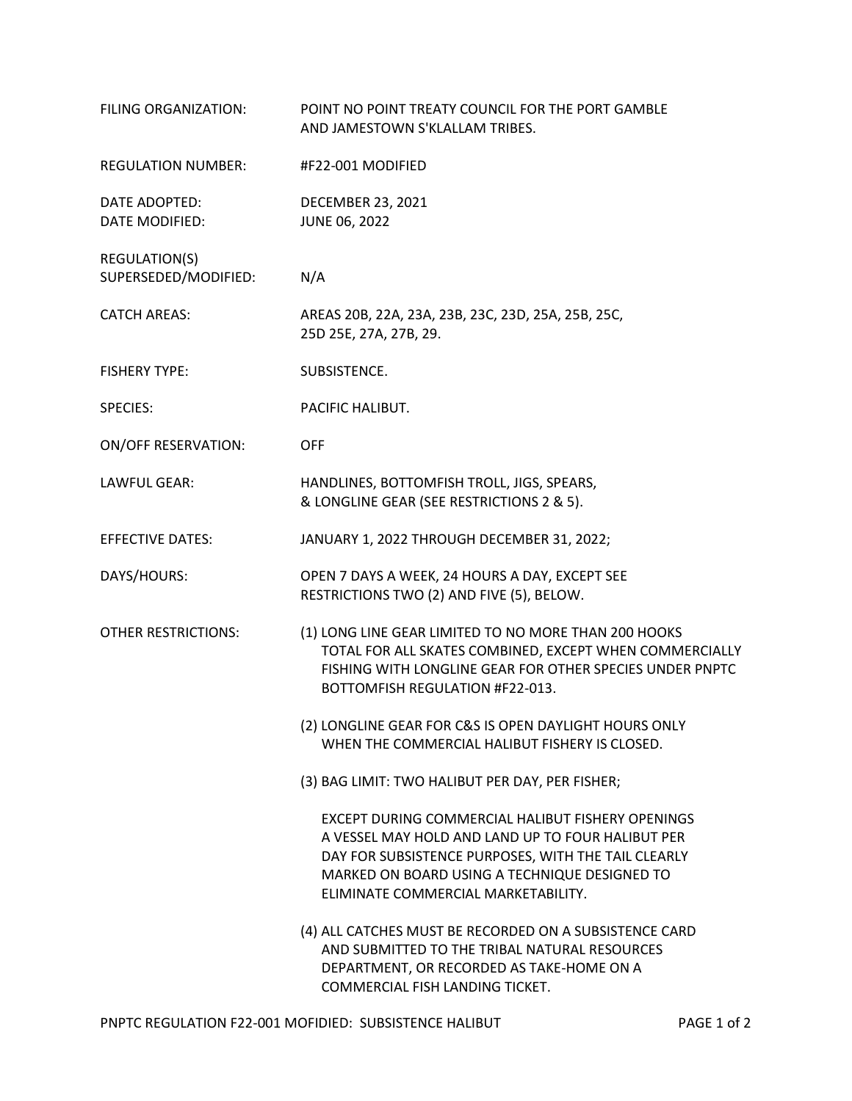| FILING ORGANIZATION:                  | POINT NO POINT TREATY COUNCIL FOR THE PORT GAMBLE<br>AND JAMESTOWN S'KLALLAM TRIBES.                                                                                                                                                                  |
|---------------------------------------|-------------------------------------------------------------------------------------------------------------------------------------------------------------------------------------------------------------------------------------------------------|
| <b>REGULATION NUMBER:</b>             | #F22-001 MODIFIED                                                                                                                                                                                                                                     |
| DATE ADOPTED:<br>DATE MODIFIED:       | <b>DECEMBER 23, 2021</b><br>JUNE 06, 2022                                                                                                                                                                                                             |
| REGULATION(S)<br>SUPERSEDED/MODIFIED: | N/A                                                                                                                                                                                                                                                   |
| <b>CATCH AREAS:</b>                   | AREAS 20B, 22A, 23A, 23B, 23C, 23D, 25A, 25B, 25C,<br>25D 25E, 27A, 27B, 29.                                                                                                                                                                          |
| <b>FISHERY TYPE:</b>                  | SUBSISTENCE.                                                                                                                                                                                                                                          |
| <b>SPECIES:</b>                       | PACIFIC HALIBUT.                                                                                                                                                                                                                                      |
| <b>ON/OFF RESERVATION:</b>            | <b>OFF</b>                                                                                                                                                                                                                                            |
| LAWFUL GEAR:                          | HANDLINES, BOTTOMFISH TROLL, JIGS, SPEARS,<br>& LONGLINE GEAR (SEE RESTRICTIONS 2 & 5).                                                                                                                                                               |
| <b>EFFECTIVE DATES:</b>               | JANUARY 1, 2022 THROUGH DECEMBER 31, 2022;                                                                                                                                                                                                            |
| DAYS/HOURS:                           | OPEN 7 DAYS A WEEK, 24 HOURS A DAY, EXCEPT SEE<br>RESTRICTIONS TWO (2) AND FIVE (5), BELOW.                                                                                                                                                           |
| <b>OTHER RESTRICTIONS:</b>            | (1) LONG LINE GEAR LIMITED TO NO MORE THAN 200 HOOKS<br>TOTAL FOR ALL SKATES COMBINED, EXCEPT WHEN COMMERCIALLY<br>FISHING WITH LONGLINE GEAR FOR OTHER SPECIES UNDER PNPTC<br>BOTTOMFISH REGULATION #F22-013.                                        |
|                                       | (2) LONGLINE GEAR FOR C&S IS OPEN DAYLIGHT HOURS ONLY<br>WHEN THE COMMERCIAL HALIBUT FISHERY IS CLOSED.                                                                                                                                               |
|                                       | (3) BAG LIMIT: TWO HALIBUT PER DAY, PER FISHER;                                                                                                                                                                                                       |
|                                       | EXCEPT DURING COMMERCIAL HALIBUT FISHERY OPENINGS<br>A VESSEL MAY HOLD AND LAND UP TO FOUR HALIBUT PER<br>DAY FOR SUBSISTENCE PURPOSES, WITH THE TAIL CLEARLY<br>MARKED ON BOARD USING A TECHNIQUE DESIGNED TO<br>ELIMINATE COMMERCIAL MARKETABILITY. |
|                                       | (4) ALL CATCHES MUST BE RECORDED ON A SUBSISTENCE CARD<br>AND SUBMITTED TO THE TRIBAL NATURAL RESOURCES<br>DEPARTMENT, OR RECORDED AS TAKE-HOME ON A<br>COMMERCIAL FISH LANDING TICKET.                                                               |